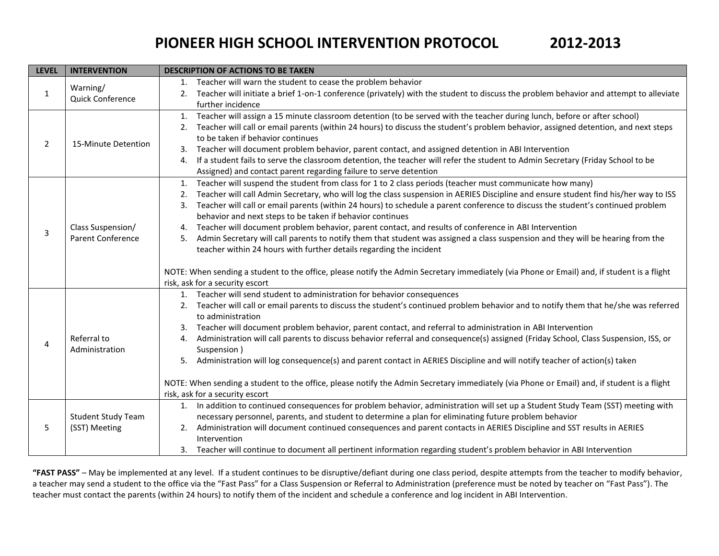## **PIONEER HIGH SCHOOL INTERVENTION PROTOCOL 2012-2013**

| <b>LEVEL</b> | <b>INTERVENTION</b>                                                                                                                                                                                                                                                                                                                                                                                                                                                                                                                                                                                                                                                                                                                                                                                                                                                         | <b>DESCRIPTION OF ACTIONS TO BE TAKEN</b>                                                                                                                                                                                                                                                                                                                                                                                                                                                                                                                                                                                                                                                                                                                                                                                                                                                                                                                                          |  |  |
|--------------|-----------------------------------------------------------------------------------------------------------------------------------------------------------------------------------------------------------------------------------------------------------------------------------------------------------------------------------------------------------------------------------------------------------------------------------------------------------------------------------------------------------------------------------------------------------------------------------------------------------------------------------------------------------------------------------------------------------------------------------------------------------------------------------------------------------------------------------------------------------------------------|------------------------------------------------------------------------------------------------------------------------------------------------------------------------------------------------------------------------------------------------------------------------------------------------------------------------------------------------------------------------------------------------------------------------------------------------------------------------------------------------------------------------------------------------------------------------------------------------------------------------------------------------------------------------------------------------------------------------------------------------------------------------------------------------------------------------------------------------------------------------------------------------------------------------------------------------------------------------------------|--|--|
| 1            | Warning/<br><b>Quick Conference</b>                                                                                                                                                                                                                                                                                                                                                                                                                                                                                                                                                                                                                                                                                                                                                                                                                                         | 1. Teacher will warn the student to cease the problem behavior<br>2. Teacher will initiate a brief 1-on-1 conference (privately) with the student to discuss the problem behavior and attempt to alleviate<br>further incidence                                                                                                                                                                                                                                                                                                                                                                                                                                                                                                                                                                                                                                                                                                                                                    |  |  |
| 2            | 15-Minute Detention                                                                                                                                                                                                                                                                                                                                                                                                                                                                                                                                                                                                                                                                                                                                                                                                                                                         | 1. Teacher will assign a 15 minute classroom detention (to be served with the teacher during lunch, before or after school)<br>Teacher will call or email parents (within 24 hours) to discuss the student's problem behavior, assigned detention, and next steps<br>2.<br>to be taken if behavior continues<br>Teacher will document problem behavior, parent contact, and assigned detention in ABI Intervention<br>3.<br>If a student fails to serve the classroom detention, the teacher will refer the student to Admin Secretary (Friday School to be<br>4.<br>Assigned) and contact parent regarding failure to serve detention                                                                                                                                                                                                                                                                                                                                             |  |  |
| 3            | Class Suspension/<br>Parent Conference                                                                                                                                                                                                                                                                                                                                                                                                                                                                                                                                                                                                                                                                                                                                                                                                                                      | Teacher will suspend the student from class for 1 to 2 class periods (teacher must communicate how many)<br>1.<br>Teacher will call Admin Secretary, who will log the class suspension in AERIES Discipline and ensure student find his/her way to ISS<br>2.<br>Teacher will call or email parents (within 24 hours) to schedule a parent conference to discuss the student's continued problem<br>3.<br>behavior and next steps to be taken if behavior continues<br>Teacher will document problem behavior, parent contact, and results of conference in ABI Intervention<br>4.<br>Admin Secretary will call parents to notify them that student was assigned a class suspension and they will be hearing from the<br>5.<br>teacher within 24 hours with further details regarding the incident<br>NOTE: When sending a student to the office, please notify the Admin Secretary immediately (via Phone or Email) and, if student is a flight<br>risk, ask for a security escort |  |  |
| 4            | 1. Teacher will send student to administration for behavior consequences<br>2. Teacher will call or email parents to discuss the student's continued problem behavior and to notify them that he/she was referred<br>to administration<br>Teacher will document problem behavior, parent contact, and referral to administration in ABI Intervention<br>3.<br>Referral to<br>Administration will call parents to discuss behavior referral and consequence(s) assigned (Friday School, Class Suspension, ISS, or<br>4.<br>Suspension)<br>Administration<br>Administration will log consequence(s) and parent contact in AERIES Discipline and will notify teacher of action(s) taken<br>5.<br>NOTE: When sending a student to the office, please notify the Admin Secretary immediately (via Phone or Email) and, if student is a flight<br>risk, ask for a security escort |                                                                                                                                                                                                                                                                                                                                                                                                                                                                                                                                                                                                                                                                                                                                                                                                                                                                                                                                                                                    |  |  |
| 5            | <b>Student Study Team</b><br>(SST) Meeting                                                                                                                                                                                                                                                                                                                                                                                                                                                                                                                                                                                                                                                                                                                                                                                                                                  | 1. In addition to continued consequences for problem behavior, administration will set up a Student Study Team (SST) meeting with<br>necessary personnel, parents, and student to determine a plan for eliminating future problem behavior<br>Administration will document continued consequences and parent contacts in AERIES Discipline and SST results in AERIES<br>2.<br>Intervention<br>3. Teacher will continue to document all pertinent information regarding student's problem behavior in ABI Intervention                                                                                                                                                                                                                                                                                                                                                                                                                                                              |  |  |

**"FAST PASS"** – May be implemented at any level. If a student continues to be disruptive/defiant during one class period, despite attempts from the teacher to modify behavior, a teacher may send a student to the office via the "Fast Pass" for a Class Suspension or Referral to Administration (preference must be noted by teacher on "Fast Pass"). The teacher must contact the parents (within 24 hours) to notify them of the incident and schedule a conference and log incident in ABI Intervention.